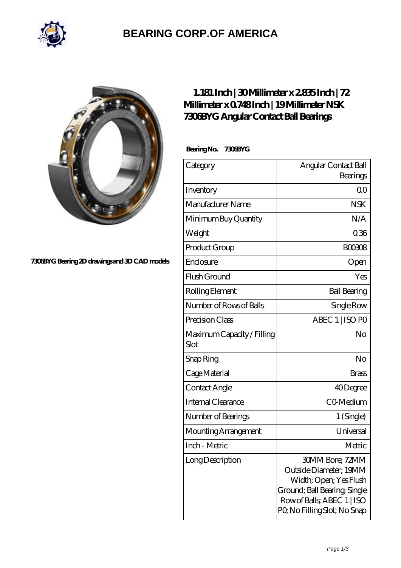

### **[BEARING CORP.OF AMERICA](https://m.bluemondayreview.com)**



#### **[7306BYG Bearing 2D drawings and 3D CAD models](https://m.bluemondayreview.com/pic-172761.html)**

### **[1.181 Inch | 30 Millimeter x 2.835 Inch | 72](https://m.bluemondayreview.com/bz-172761-nsk-7306byg-angular-contact-ball-bearings.html) [Millimeter x 0.748 Inch | 19 Millimeter NSK](https://m.bluemondayreview.com/bz-172761-nsk-7306byg-angular-contact-ball-bearings.html) [7306BYG Angular Contact Ball Bearings](https://m.bluemondayreview.com/bz-172761-nsk-7306byg-angular-contact-ball-bearings.html)**

 **Bearing No. 7306BYG**

| Category                           | Angular Contact Ball                                                                                                                                             |
|------------------------------------|------------------------------------------------------------------------------------------------------------------------------------------------------------------|
|                                    | Bearings                                                                                                                                                         |
| Inventory                          | 0 <sub>0</sub>                                                                                                                                                   |
| Manufacturer Name                  | <b>NSK</b>                                                                                                                                                       |
| Minimum Buy Quantity               | N/A                                                                                                                                                              |
| Weight                             | 036                                                                                                                                                              |
| Product Group                      | <b>BOO3O8</b>                                                                                                                                                    |
| Enclosure                          | Open                                                                                                                                                             |
| Flush Ground                       | Yes                                                                                                                                                              |
| Rolling Element                    | <b>Ball Bearing</b>                                                                                                                                              |
| Number of Rows of Balls            | Single Row                                                                                                                                                       |
| Precision Class                    | ABEC 1   ISO PO                                                                                                                                                  |
| Maximum Capacity / Filling<br>Slot | No                                                                                                                                                               |
| Snap Ring                          | No                                                                                                                                                               |
| Cage Material                      | <b>Brass</b>                                                                                                                                                     |
| Contact Angle                      | 40Degree                                                                                                                                                         |
| Internal Clearance                 | CO-Medium                                                                                                                                                        |
| Number of Bearings                 | 1 (Single)                                                                                                                                                       |
| Mounting Arrangement               | Universal                                                                                                                                                        |
| Inch - Metric                      | Metric                                                                                                                                                           |
| Long Description                   | 30MM Bore; 72MM<br>Outside Diameter; 19MM<br>Width; Open; Yes Flush<br>Ground; Ball Bearing, Single<br>Row of Balls, ABEC 1   ISO<br>PQ No Filling Slot; No Snap |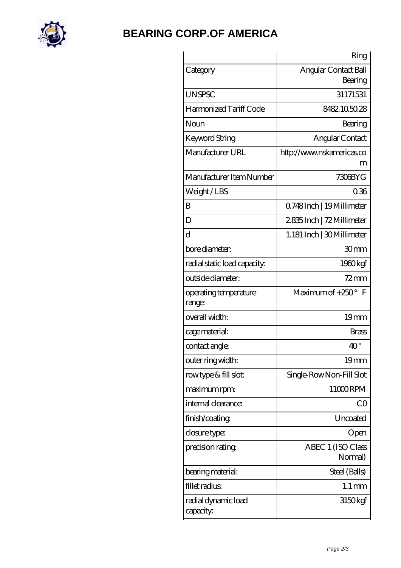

## **[BEARING CORP.OF AMERICA](https://m.bluemondayreview.com)**

|                                  | Ring                            |
|----------------------------------|---------------------------------|
| Category                         | Angular Contact Ball<br>Bearing |
| <b>UNSPSC</b>                    | 31171531                        |
| Harmonized Tariff Code           | 8482.105028                     |
| Noun                             | Bearing                         |
| <b>Keyword String</b>            | Angular Contact                 |
| Manufacturer URL                 | http://www.nskamericas.co<br>m  |
| Manufacturer Item Number         | 7306BYG                         |
| Weight/LBS                       | 036                             |
| B                                | Q748Inch   19Millimeter         |
| D                                | 2835Inch   72Millimeter         |
| d                                | 1.181 Inch   30 Millimeter      |
| bore diameter:                   | 30mm                            |
| radial static load capacity:     | 1960kgf                         |
| outside diameter:                | $72 \text{mm}$                  |
| operating temperature<br>range:  | Maximum of $+250^\circ$ F       |
| overall width:                   | 19 <sub>mm</sub>                |
| cage material:                   | <b>Brass</b>                    |
| contact angle:                   | $40^{\circ}$                    |
| outer ring width:                | 19 <sub>mm</sub>                |
| rowtype & fill slot:             | Single-RowNon-Fill Slot         |
| maximum rpm:                     | 11000RPM                        |
| internal clearance:              | CO                              |
| finish/coating                   | Uncoated                        |
| closure type:                    | Open                            |
| precision rating                 | ABEC 1 (ISO Class<br>Normal)    |
| bearing material:                | Steel (Balls)                   |
| fillet radius                    | $1.1 \,\mathrm{mm}$             |
| radial dynamic load<br>capacity: | 3150kgf                         |